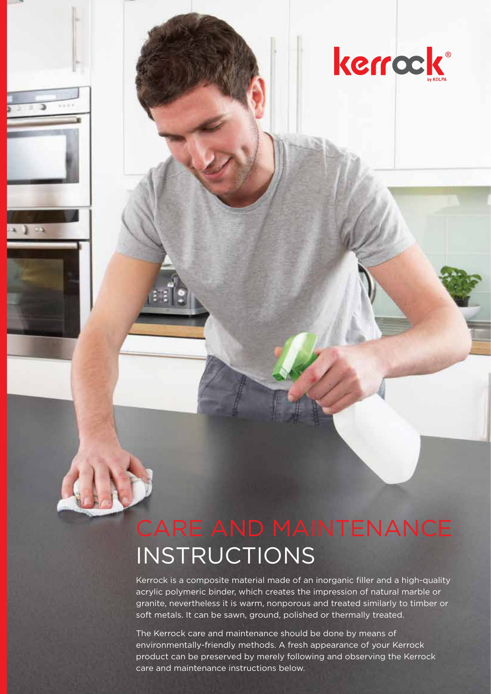# kerrock®

# CARE AND MAINTENANCE INSTRUCTIONS

Kerrock is a composite material made of an inorganic filler and a high-quality acrylic polymeric binder, which creates the impression of natural marble or granite, nevertheless it is warm, nonporous and treated similarly to timber or soft metals. It can be sawn, ground, polished or thermally treated.

The Kerrock care and maintenance should be done by means of environmentally-friendly methods. A fresh appearance of your Kerrock product can be preserved by merely following and observing the Kerrock care and maintenance instructions below.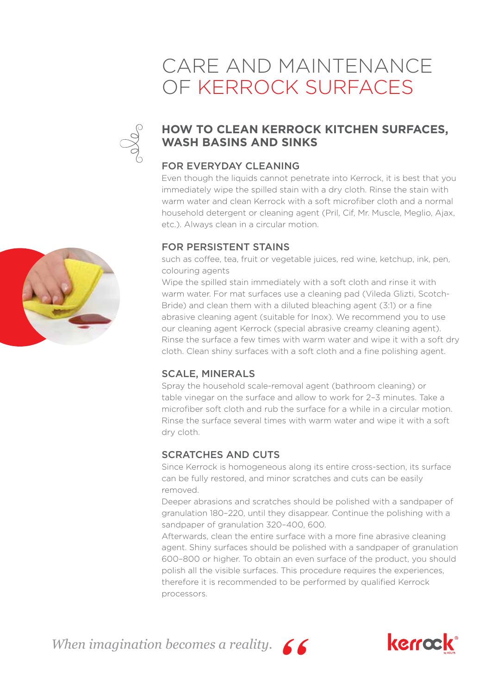### CARE AND MAINTENANCE OF KERROCK SURFACES



### **HOW TO CLEAN KERROCK KITCHEN SURFACES, WASH BASINS AND SINKS**

### FOR EVERYDAY CLEANING

Even though the liquids cannot penetrate into Kerrock, it is best that you immediately wipe the spilled stain with a dry cloth. Rinse the stain with warm water and clean Kerrock with a soft microfiber cloth and a normal household detergent or cleaning agent (Pril, Cif, Mr. Muscle, Meglio, Ajax, etc.). Always clean in a circular motion.

### FOR PERSISTENT STAINS

such as coffee, tea, fruit or vegetable juices, red wine, ketchup, ink, pen, colouring agents

Wipe the spilled stain immediately with a soft cloth and rinse it with warm water. For mat surfaces use a cleaning pad (Vileda Glizti, Scotch-Bride) and clean them with a diluted bleaching agent (3:1) or a fine abrasive cleaning agent (suitable for Inox). We recommend you to use our cleaning agent Kerrock (special abrasive creamy cleaning agent). Rinse the surface a few times with warm water and wipe it with a soft dry cloth. Clean shiny surfaces with a soft cloth and a fine polishing agent.

### SCALE, MINERALS

Spray the household scale-removal agent (bathroom cleaning) or table vinegar on the surface and allow to work for 2–3 minutes. Take a microfiber soft cloth and rub the surface for a while in a circular motion. Rinse the surface several times with warm water and wipe it with a soft dry cloth.

### SCRATCHES AND CUTS

Since Kerrock is homogeneous along its entire cross-section, its surface can be fully restored, and minor scratches and cuts can be easily removed.

Deeper abrasions and scratches should be polished with a sandpaper of granulation 180–220, until they disappear. Continue the polishing with a sandpaper of granulation 320–400, 600.

Afterwards, clean the entire surface with a more fine abrasive cleaning agent. Shiny surfaces should be polished with a sandpaper of granulation 600–800 or higher. To obtain an even surface of the product, you should polish all the visible surfaces. This procedure requires the experiences, therefore it is recommended to be performed by qualified Kerrock processors.

*When imagination becomes a reality.*





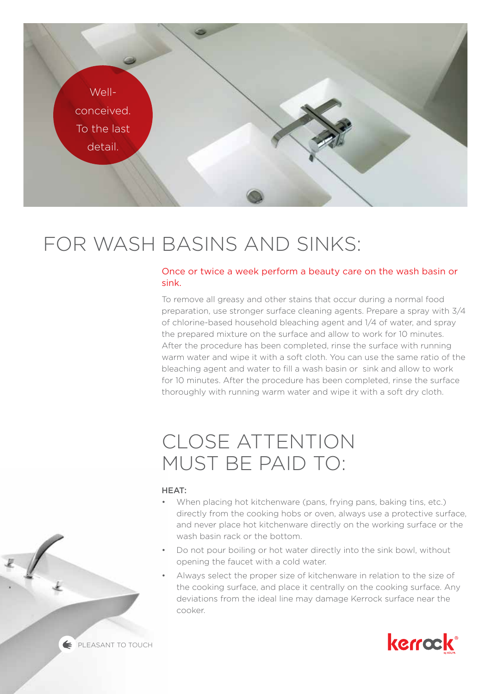

# FOR WASH BASINS AND SINKS:

#### Once or twice a week perform a beauty care on the wash basin or sink.

To remove all greasy and other stains that occur during a normal food preparation, use stronger surface cleaning agents. Prepare a spray with 3/4 of chlorine-based household bleaching agent and 1/4 of water, and spray the prepared mixture on the surface and allow to work for 10 minutes. After the procedure has been completed, rinse the surface with running warm water and wipe it with a soft cloth. You can use the same ratio of the bleaching agent and water to fill a wash basin or sink and allow to work for 10 minutes. After the procedure has been completed, rinse the surface thoroughly with running warm water and wipe it with a soft dry cloth.

## CLOSE ATTENTION MUST BE PAID TO:

#### HEAT:

- When placing hot kitchenware (pans, frying pans, baking tins, etc.) directly from the cooking hobs or oven, always use a protective surface, and never place hot kitchenware directly on the working surface or the wash basin rack or the bottom.
- Do not pour boiling or hot water directly into the sink bowl, without opening the faucet with a cold water.
- Always select the proper size of kitchenware in relation to the size of the cooking surface, and place it centrally on the cooking surface. Any deviations from the ideal line may damage Kerrock surface near the cooker.



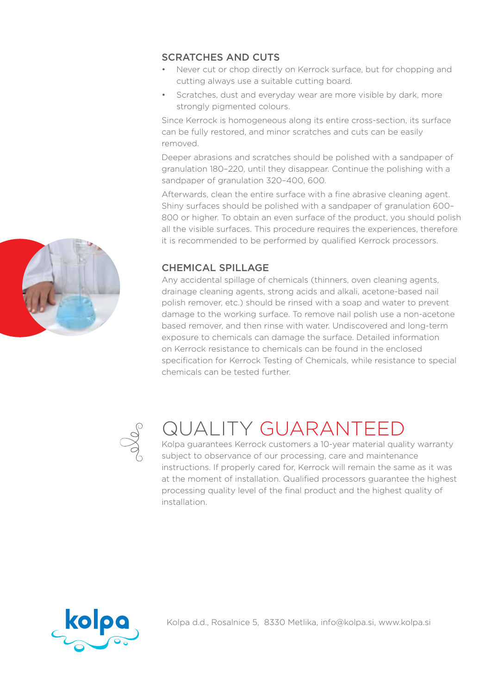### SCRATCHES AND CUTS

- Never cut or chop directly on Kerrock surface, but for chopping and cutting always use a suitable cutting board.
- Scratches, dust and everyday wear are more visible by dark, more strongly pigmented colours.

Since Kerrock is homogeneous along its entire cross-section, its surface can be fully restored, and minor scratches and cuts can be easily removed.

Deeper abrasions and scratches should be polished with a sandpaper of granulation 180–220, until they disappear. Continue the polishing with a sandpaper of granulation 320–400, 600.

Afterwards, clean the entire surface with a fine abrasive cleaning agent. Shiny surfaces should be polished with a sandpaper of granulation 600– 800 or higher. To obtain an even surface of the product, you should polish all the visible surfaces. This procedure requires the experiences, therefore it is recommended to be performed by qualified Kerrock processors.

### CHEMICAL SPILLAGE

Any accidental spillage of chemicals (thinners, oven cleaning agents, drainage cleaning agents, strong acids and alkali, acetone-based nail polish remover, etc.) should be rinsed with a soap and water to prevent damage to the working surface. To remove nail polish use a non-acetone based remover, and then rinse with water. Undiscovered and long-term exposure to chemicals can damage the surface. Detailed information on Kerrock resistance to chemicals can be found in the enclosed specification for Kerrock Testing of Chemicals, while resistance to special chemicals can be tested further.



# QUALITY GUARANTEED

Kolpa guarantees Kerrock customers a 10-year material quality warranty subject to observance of our processing, care and maintenance instructions. If properly cared for, Kerrock will remain the same as it was at the moment of installation. Qualified processors guarantee the highest processing quality level of the final product and the highest quality of installation.



Kolpa d.d., Rosalnice 5, 8330 Metlika, info@kolpa.si, www.kolpa.si

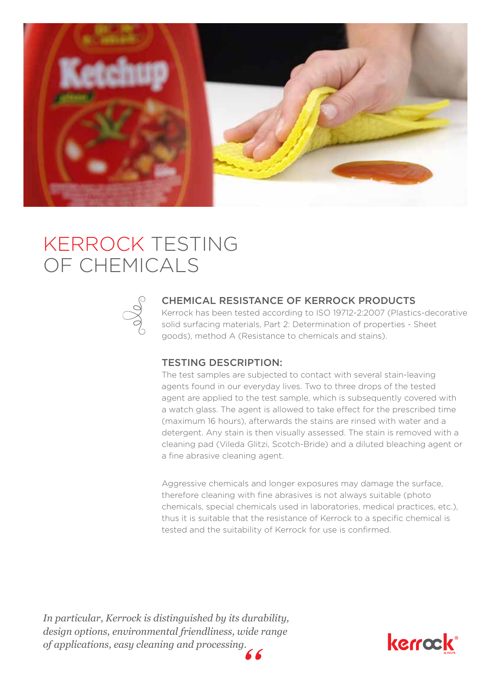

## KERROCK TESTING OF CHEMICALS



#### CHEMICAL RESISTANCE OF KERROCK PRODUCTS

Kerrock has been tested according to ISO 19712-2:2007 (Plastics-decorative solid surfacing materials, Part 2: Determination of properties - Sheet goods), method A (Resistance to chemicals and stains).

#### TESTING DESCRIPTION:

The test samples are subjected to contact with several stain-leaving agents found in our everyday lives. Two to three drops of the tested agent are applied to the test sample, which is subsequently covered with a watch glass. The agent is allowed to take effect for the prescribed time (maximum 16 hours), afterwards the stains are rinsed with water and a detergent. Any stain is then visually assessed. The stain is removed with a cleaning pad (Vileda Glitzi, Scotch-Bride) and a diluted bleaching agent or a fine abrasive cleaning agent.

Aggressive chemicals and longer exposures may damage the surface, therefore cleaning with fine abrasives is not always suitable (photo chemicals, special chemicals used in laboratories, medical practices, etc.), thus it is suitable that the resistance of Kerrock to a specific chemical is tested and the suitability of Kerrock for use is confirmed.

*In particular, Kerrock is distinguished by its durability, design options, environmental friendliness, wide range of applications, easy cleaning and processing.*

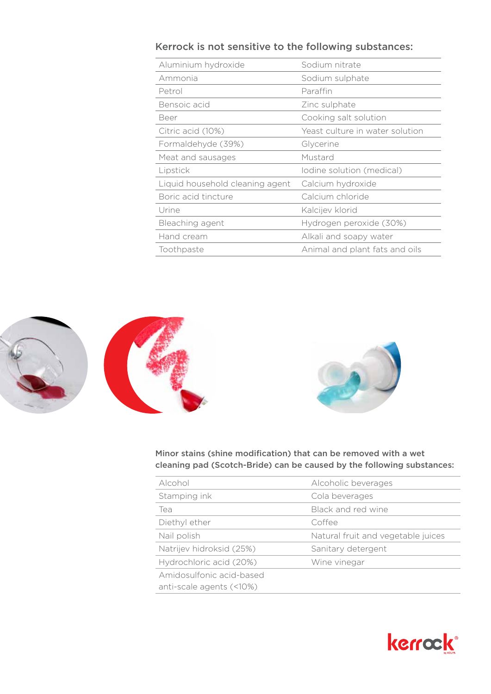### Kerrock is not sensitive to the following substances:

| Aluminium hydroxide             | Sodium nitrate                  |
|---------------------------------|---------------------------------|
| Ammonia                         | Sodium sulphate                 |
| Petrol                          | Paraffin                        |
| Bensoic acid                    | Zinc sulphate                   |
| Beer                            | Cooking salt solution           |
| Citric acid (10%)               | Yeast culture in water solution |
| Formaldehyde (39%)              | Glycerine                       |
| Meat and sausages               | Mustard                         |
| Lipstick                        | Iodine solution (medical)       |
| Liquid household cleaning agent | Calcium hydroxide               |
| Boric acid tincture             | Calcium chloride                |
| Urine                           | Kalcijev klorid                 |
| Bleaching agent                 | Hydrogen peroxide (30%)         |
| Hand cream                      | Alkali and soapy water          |
| Toothpaste                      | Animal and plant fats and oils  |





Minor stains (shine modification) that can be removed with a wet cleaning pad (Scotch-Bride) can be caused by the following substances:

| Alcohol                  | Alcoholic beverages                |
|--------------------------|------------------------------------|
| Stamping ink             | Cola beverages                     |
| Tea                      | Black and red wine                 |
| Diethyl ether            | Coffee                             |
| Nail polish              | Natural fruit and vegetable juices |
| Natrijev hidroksid (25%) | Sanitary detergent                 |
| Hydrochloric acid (20%)  | Wine vinegar                       |
| Amidosulfonic acid-based |                                    |
| anti-scale agents (<10%) |                                    |